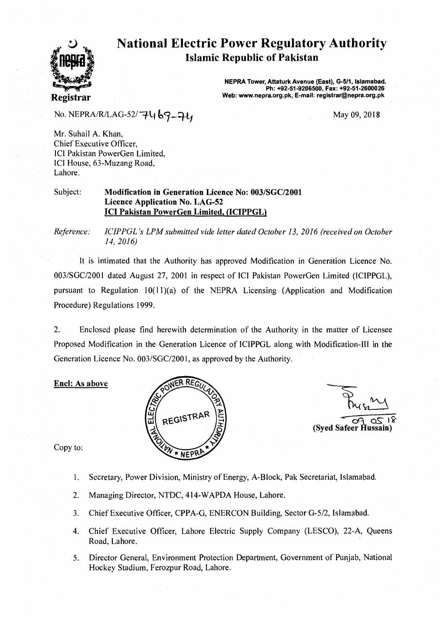

# **National Electric Power Regulatory Authority Islamic Republic of Pakistan**

**NEPRA Tower, Attaturk Avenue (East), G-511, Islamabad. Ph: +92-51-9206500, Fax: +92-51-2600026 Web: www.nepra.org.pk, E-mail: registrar©nepra.org.pk** 

No. NEPRA/R/LAG-52/ $-7469-74$ 

May 09, 2018

Mr. Suhail A. Khan, Chief Executive Officer, ICI Pakistan PowerGen Limited, ICI House, 63-Muzang Road, Lahore.

Subject: **Modification in Generation Licence No: 003/SGC/2001 Licence Application No. LAG-52 ICI Pakistan PowerGen Limited, (ICIPPGL)** 

*Reference: ICIPPGL's LPM submitted vide letter dated October 13, 2016 (received on October 14, 2016)* 

It is intimated that the Authority has approved Modification in Generation Licence No. 003/SGC/2001 dated August 27, 2001 in respect of ICI Pakistan PowerGen Limited (ICIPPGL), pursuant to Regulation 10(11)(a) of the NEPRA Licensing (Application and Modification Procedure) Regulations 1999.

2. Enclosed please find herewith determination of the Authority in the matter of Licensee Proposed Modification in the Generation Licence of ICIPPGL along with Modification-III in the Generation Licence No. 003/SGC/2001, as approved by the Authority.

#### **Encl: As above**



o۲ 18 **(Syed Safeer Hussain)** 

Copy to:

- 1. Secretary, Power Division, Ministry of Energy, A-Block, Pak Secretariat, Islamabad.
- 2. Managing Director, NTDC, 414-WAPDA House, Lahore.
- 3. Chief Executive Officer, CPPA-G, ENERCON Building, Sector G-5/2, Islamabad.
- 4. Chief Executive Officer, Lahore Electric Supply Company (LESCO), 22-A, Queens Road, Lahore.
- 5. Director General, Environment Protection Department, Government of Punjab, National Hockey Stadium, Ferozpur Road, Lahore.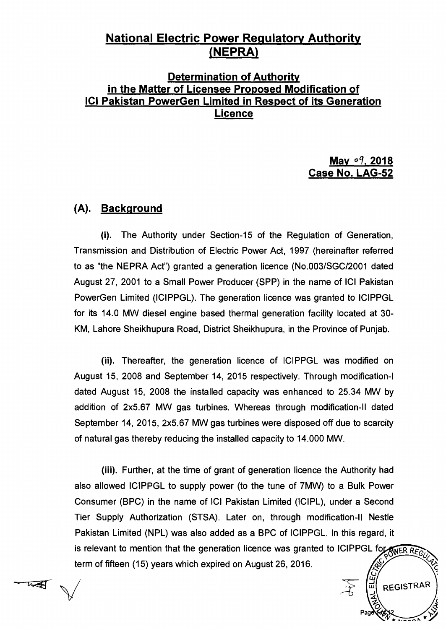## **National Electric Power Regulatory Authority**  (**NEPRA**)

## **Determination of Authority in the Matter of Licensee Proposed Modification of ICI Pakistan PowerGen Limited in Respect of its Generation Licence**

### **May 09, 2018 Case No. LAG-52**

REGISTRAR

### **(A). Background**

 $\sqrt$ 

 $\overline{u}$ 

**(i). The Authority under Section-15 of the Regulation of Generation, Transmission and Distribution of Electric Power Act, 1997 (hereinafter referred to as "the NEPRA Act") granted a generation licence (No.003/SGC/2001 dated August 27, 2001 to a Small Power Producer (SPP) in the name of ICI Pakistan PowerGen Limited (ICIPPGL). The generation licence was granted to ICIPPGL for its 14.0 MW diesel engine based thermal generation facility located at 30- KM, Lahore Sheikhupura Road, District Sheikhupura, in the Province of Punjab.** 

**(ii). Thereafter, the generation licence of ICIPPGL was modified on August 15, 2008 and September 14, 2015 respectively. Through modification-I dated August 15, 2008 the installed capacity was enhanced to 25.34 MW by addition of 2x5.67 MW gas turbines. Whereas through modification-II dated September 14, 2015, 2x5.67 MW gas turbines were disposed off due to scarcity of natural gas thereby reducing the installed capacity to 14.000 MW.** 

**(iii). Further, at the time of grant of generation licence the Authority had also allowed ICIPPGL to supply power (to the tune of 7MW) to a Bulk Power Consumer (BPC) in the name of ICI Pakistan Limited (ICIPL), under a Second Tier Supply Authorization (STSA). Later on, through modification-II Nestle Pakistan Limited (NPL) was also added as a BPC of ICIPPGL. In this regard, it**  is relevant to mention that the generation licence was granted to ICIPPGL for SNER REGU **term of fifteen (15) years which expired on August 26, 2016.**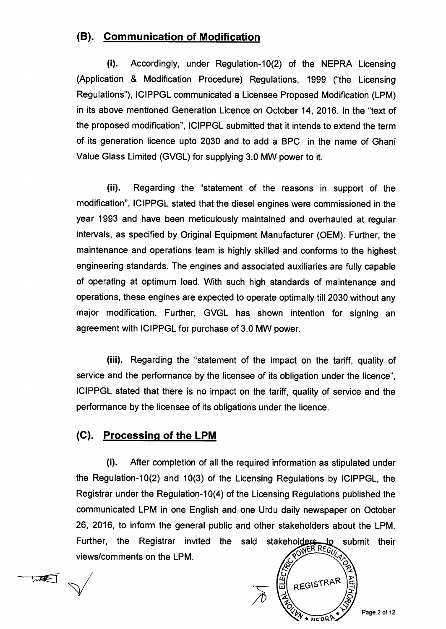## **(B). Communication of Modification**

**(i). Accordingly, under Regulation-10(2) of the NEPRA Licensing (Application & Modification Procedure) Regulations, 1999 ("the Licensing Regulations"), ICIPPGL communicated a Licensee Proposed Modification (LPM) in its above mentioned Generation Licence on October 14, 2016. In the "text of the proposed modification", ICIPPGL submitted that it intends to extend the term of its generation licence upto 2030 and to add a BPC in the name of Ghani Value Glass Limited (GVGL) for supplying 3.0 MW power to it.** 

**(ii). Regarding the "statement of the reasons in support of the modification", ICIPPGL stated that the diesel engines were commissioned in the year 1993 and have been meticulously maintained and overhauled at regular intervals, as specified by Original Equipment Manufacturer (OEM). Further, the maintenance and operations team is highly skilled and conforms to the highest engineering standards. The engines and associated auxiliaries are fully capable of operating at optimum load. With such high standards of maintenance and operations, these engines are expected to operate optimally till 2030 without any major modification. Further, GVGL has shown intention for signing an agreement with ICIPPGL for purchase of 3.0 MW power.** 

**(iii). Regarding the "statement of the impact on the tariff, quality of service and the performance by the licensee of its obligation under the licence", ICIPPGL stated that there is no impact on the tariff, quality of service and the performance by the licensee of its obligations under the licence.** 

### **(C). Processing of the LPM**

**(i). After completion of all the required information as stipulated under the Regulation-10(2) and 10(3) of the Licensing Regulations by ICIPPGL, the Registrar under the Regulation-10(4) of the Licensing Regulations published the communicated LPM in one English and one Urdu daily newspaper on October 26, 2016, to inform the general public and other stakeholders about the LPM.**  Further, the Registrar invited the said stakeholders to submit their views/comments on the LPM **views/comments on the LPM.** 

REGISTRAR

**Page 2 of 12** 

tule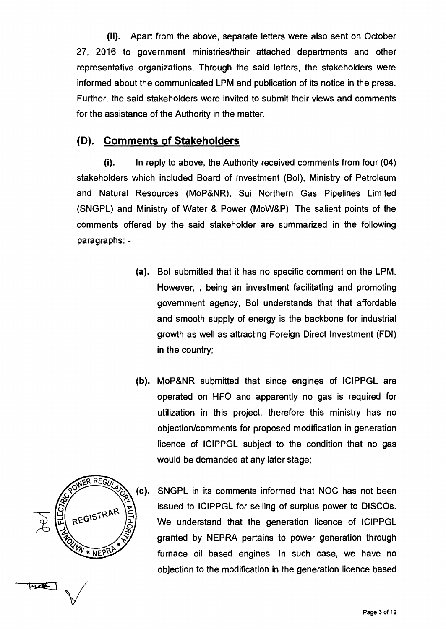**(ii). Apart from the above, separate letters were also sent on October 27, 2016 to government ministries/their attached departments and other representative organizations. Through the said letters, the stakeholders were informed about the communicated LPM and publication of its notice in the press. Further, the said stakeholders were invited to submit their views and comments for the assistance of the Authority in the matter.** 

### **(D). Comments of Stakeholders**

**(i). In reply to above, the Authority received comments from four (04) stakeholders which included Board of Investment (Bol), Ministry of Petroleum and Natural Resources (MoP&NR), Sui Northern Gas Pipelines Limited (SNGPL) and Ministry of Water & Power (MoW&P). The salient points of the comments offered by the said stakeholder are summarized in the following paragraphs: -** 

- **(a). Bol submitted that it has no specific comment on the LPM. However, being an investment facilitating and promoting government agency, Bol understands that that affordable and smooth supply of energy is the backbone for industrial growth as well as attracting Foreign Direct Investment (FDI) in the country;**
- **(b). MoP&NR submitted that since engines of ICIPPGL are operated on HFO and apparently no gas is required for utilization in this project, therefore this ministry has no objection/comments for proposed modification in generation licence of ICIPPGL subject to the condition that no gas would be demanded at any later stage;**



**SNGPL in its comments informed that NOC has not been issued to ICIPPGL for selling of surplus power to DISCOs. We understand that the generation licence of ICIPPGL granted by NEPRA pertains to power generation through furnace oil based engines. In such case, we have no objection to the modification in the generation licence based**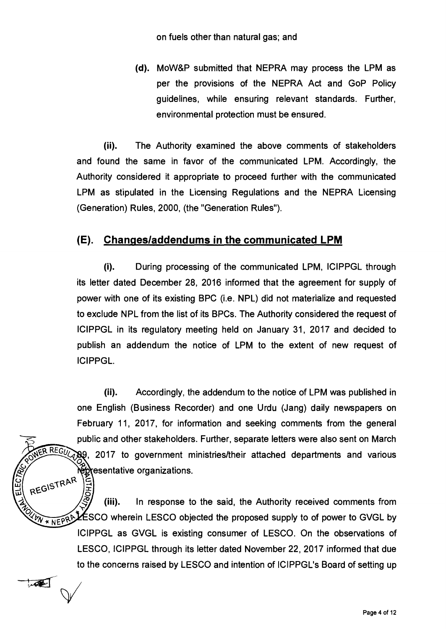**(d). MoW&P submitted that NEPRA may process the LPM as per the provisions of the NEPRA Act and GoP Policy guidelines, while ensuring relevant standards. Further, environmental protection must be ensured.** 

**(ii). The Authority examined the above comments of stakeholders and found the same in favor of the communicated LPM. Accordingly, the Authority considered it appropriate to proceed further with the communicated LPM as stipulated in the Licensing Regulations and the NEPRA Licensing (Generation) Rules, 2000, (the "Generation Rules").** 

### **(E). Chanqes/addendums in the communicated LPM**

**(i). During processing of the communicated LPM, ICIPPGL through its letter dated December 28, 2016 informed that the agreement for supply of power with one of its existing BPC (i.e. NPL) did not materialize and requested to exclude NPL from the list of its BPCs. The Authority considered the request of ICIPPGL in its regulatory meeting held on January 31, 2017 and decided to publish an addendum the notice of LPM to the extent of new request of ICIPPGL.** 

**(ii). Accordingly, the addendum to the notice of LPM was published in one English (Business Recorder) and one Urdu (Jang) daily newspapers on February 11, 2017, for information and seeking comments from the general public and other stakeholders. Further, separate letters were also sent on March , 2017 to government ministries/their attached departments and various epresentative organizations.** 

REGISTRAR **ANTHOR (iii). In response to the said, the Authority received comments from ESCO wherein LESCO objected the proposed supply to of power to GVGL by** \* NEPRA **ICIPPGL as GVGL is existing consumer of LESCO. On the observations of LESCO, ICIPPGL through its letter dated November 22, 2017 informed that due to the concerns raised by LESCO and intention of ICIPPGL's Board of setting up** 

 $\overline{\mathcal{A}}$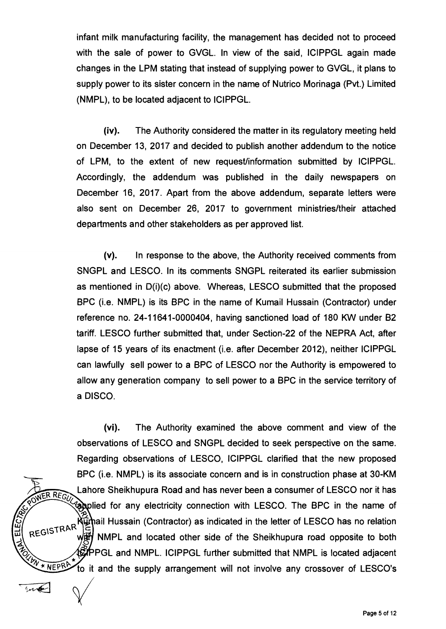**infant milk manufacturing facility, the management has decided not to proceed with the sale of power to GVGL. In view of the said, ICIPPGL again made changes in the LPM stating that instead of supplying power to GVGL, it plans to supply power to its sister concern in the name of Nutrico Morinaga (Pvt.) Limited (NMPL), to be located adjacent to ICIPPGL.** 

**(iv). The Authority considered the matter in its regulatory meeting held on December 13, 2017 and decided to publish another addendum to the notice of LPM, to the extent of new request/information submitted by ICIPPGL. Accordingly, the addendum was published in the daily newspapers on December 16, 2017. Apart from the above addendum, separate letters were also sent on December 26, 2017 to government ministries/their attached departments and other stakeholders as per approved list.** 

**(v). In response to the above, the Authority received comments from SNGPL and LESCO. In its comments SNGPL reiterated its earlier submission as mentioned in D(i)(c) above. Whereas, LESCO submitted that the proposed BPC (i.e. NMPL) is its BPC in the name of Kumail Hussain (Contractor) under reference no. 24-11641-0000404, having sanctioned load of 180 KW under B2 tariff. LESCO further submitted that, under Section-22 of the NEPRA Act, after lapse of 15 years of its enactment (i.e. after December 2012), neither ICIPPGL can lawfully sell power to a BPC of LESCO nor the Authority is empowered to allow any generation company to sell power to a BPC in the service territory of a DISCO.** 

**NER REGIT** REGISTRAR \* NEPRA **(vi). The Authority examined the above comment and view of the observations of LESCO and SNGPL decided to seek perspective on the same. Regarding observations of LESCO, ICIPPGL clarified that the new proposed BPC (i.e. NMPL) is its associate concern and is in construction phase at 30-KM Lahore Sheikhupura Road and has never been a consumer of LESCO nor it has Examplied for any electricity connection with LESCO. The BPC in the name of** Kürhail Hussain (Contractor) as indicated in the letter of LESCO has no relation **NMPL and located other side of the Sheikhupura road opposite to both PGL and NMPL. ICIPPGL further submitted that NMPL is located adjacent o it and the supply arrangement will not involve any crossover of LESCO's** 

ជ E

 $\sqrt{1-\frac{1}{2}}$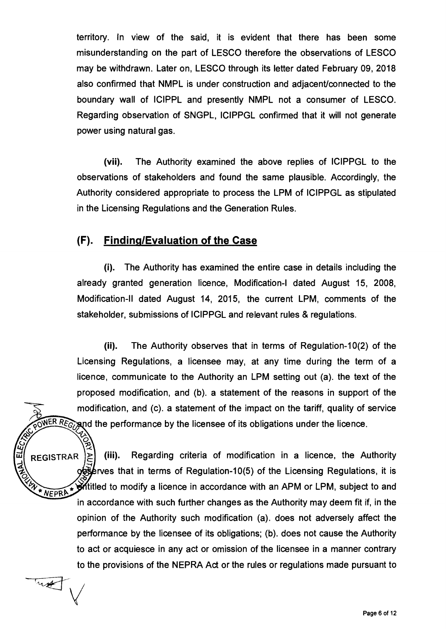**territory. In view of the said, it is evident that there has been some misunderstanding on the part of LESCO therefore the observations of LESCO may be withdrawn. Later on, LESCO through its letter dated February 09, 2018 also confirmed that NMPL is under construction and adjacent/connected to the boundary wall of ICIPPL and presently NMPL not a consumer of LESCO. Regarding observation of SNGPL, ICIPPGL confirmed that it will not generate power using natural gas.** 

**(vii). The Authority examined the above replies of ICIPPGL to the observations of stakeholders and found the same plausible. Accordingly, the Authority considered appropriate to process the LPM of ICIPPGL as stipulated in the Licensing Regulations and the Generation Rules.** 

### **(F). Findinq/Evaluation of the Case**

**(i). The Authority has examined the entire case in details including the already granted generation licence, Modification-I dated August 15, 2008, Modification-II dated August 14, 2015, the current LPM, comments of the stakeholder, submissions of ICIPPGL and relevant rules & regulations.** 

**(ii). The Authority observes that in terms of Regulation-10(2) of the Licensing Regulations, a licensee may, at any time during the term of a licence, communicate to the Authority an LPM setting out (a). the text of the proposed modification, and (b). a statement of the reasons in support of the modification, and (c). a statement of the impact on the tariff, quality of service d the performance by the licensee of its obligations under the licence.**<br>  $\begin{pmatrix} 2 \\ 3 \end{pmatrix}$  ...,

**REGISTRAR > (iii). Regarding criteria of modification in a licence, the Authority**  TAN **--I rves that in terms of Regulation-10(5) of the Licensing Regulations, it is**  UN \* NEPRA \* **titled to modify a licence in accordance with an APM or LPM, subject to and in accordance with such further changes as the Authority may deem fit if, in the opinion of the Authority such modification (a). does not adversely affect the performance by the licensee of its obligations; (b). does not cause the Authority to act or acquiesce in any act or omission of the licensee in a manner contrary to the provisions of the NEPRA Act or the rules or regulations made pursuant to** 

wet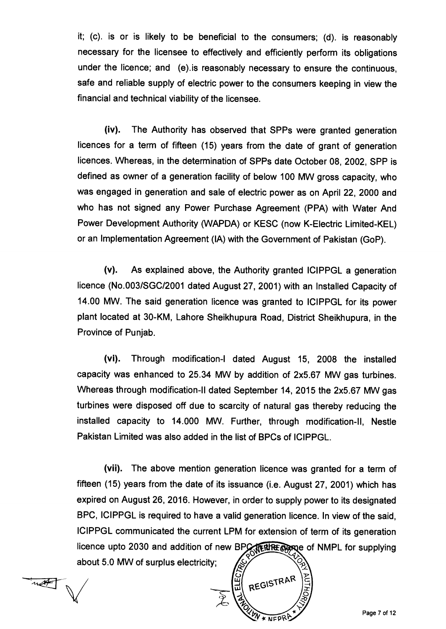**it; (c). is or is likely to be beneficial to the consumers; (d). is reasonably necessary for the licensee to effectively and efficiently perform its obligations under the licence; and (e).is reasonably necessary to ensure the continuous, safe and reliable supply of electric power to the consumers keeping in view the financial and technical viability of the licensee.** 

**(iv). The Authority has observed that SPPs were granted generation licences for a term of fifteen (15) years from the date of grant of generation licences. Whereas, in the determination of SPPs date October 08, 2002, SPP is defined as owner of a generation facility of below 100 MW gross capacity, who was engaged in generation and sale of electric power as on April 22, 2000 and who has not signed any Power Purchase Agreement (PPA) with Water And Power Development Authority (WAPDA) or KESC (now K-Electric Limited-KEL) or an Implementation Agreement (IA) with the Government of Pakistan (GoP).** 

**(v). As explained above, the Authority granted ICIPPGL a generation licence (No.003/SGC/2001 dated August 27, 2001) with an Installed Capacity of 14.00 MW. The said generation licence was granted to ICIPPGL for its power plant located at 30-KM, Lahore Sheikhupura Road, District Sheikhupura, in the Province of Punjab.** 

**(vi). Through modification-I dated August 15, 2008 the installed capacity was enhanced to 25.34 MW by addition of 2x5.67 MW gas turbines. Whereas through modification-II dated September 14, 2015 the 2x5.67 MW gas turbines were disposed off due to scarcity of natural gas thereby reducing the installed capacity to 14.000 MW. Further, through modification-II, Nestle Pakistan Limited was also added in the list of BPCs of ICIPPGL.** 

**(vii). The above mention generation licence was granted for a term of fifteen (15) years from the date of its issuance (i.e. August 27, 2001) which has expired on August 26, 2016. However, in order to supply power to its designated BPC, ICIPPGL is required to have a valid generation licence. In view of the said, ICIPPGL communicated the current LPM for extension of term of its generation**  licence upto 2030 and addition of new BPC *free same* of NMPL for supplying **about 5.0 MW of surplus electricity;** 

---4tr-V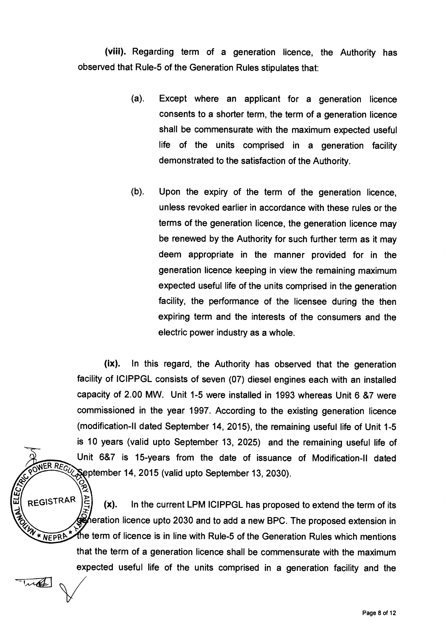**(viii). Regarding term of a generation licence, the Authority has observed that Rule-5 of the Generation Rules stipulates that:** 

- **(a). Except where an applicant for a generation licence consents to a shorter term, the term of a generation licence shall be commensurate with the maximum expected useful life of the units comprised in a generation facility demonstrated to the satisfaction of the Authority.**
- **(b). Upon the expiry of the term of the generation licence, unless revoked earlier in accordance with these rules or the terms of the generation licence, the generation licence may be renewed by the Authority for such further term as it may deem appropriate in the manner provided for in the generation licence keeping in view the remaining maximum expected useful life of the units comprised in the generation facility, the performance of the licensee during the then expiring term and the interests of the consumers and the electric power industry as a whole.**

**(ix). In this regard, the Authority has observed that the generation facility of ICIPPGL consists of seven (07) diesel engines each with an installed capacity of 2.00 MW. Unit 1-5 were installed in 1993 whereas Unit 6 &7 were commissioned in the year 1997. According to the existing generation licence (modification-II dated September 14, 2015), the remaining useful life of Unit 1-5 is 10 years (valid upto September 13, 2025) and the remaining useful life of Unit 6&7 is 15-years from the date of issuance of Modification-II dated ptember 14, 2015 (valid upto September 13, 2030).**   $\hat{c}^{\prime}_{\mathbf{p}}$ 

REGISTRAR <sup>C</sup>**(x). In the current LPM ICIPPGL has proposed to extend the term of its eration licence upto 2030 and to add a new BPC. The proposed extension in**  \* NEPRA **e term of licence is in line with Rule-5 of the Generation Rules which mentions that the term of a generation licence shall be commensurate with the maximum expected useful life of the units comprised in a generation facility and the** 

wa

WER REGUY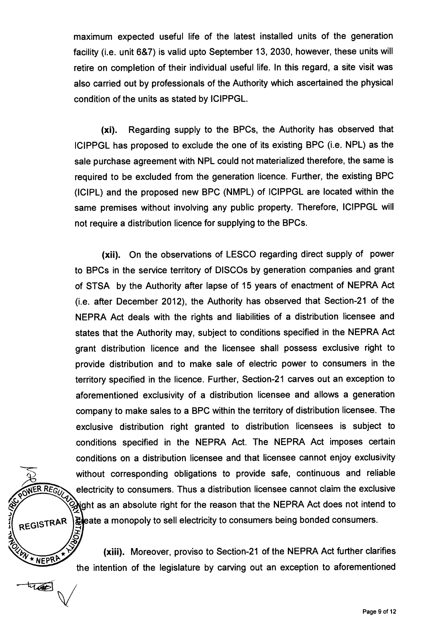**maximum expected useful life of the latest installed units of the generation facility (i.e. unit 6&7) is valid upto September 13, 2030, however, these units will retire on completion of their individual useful life. In this regard, a site visit was also carried out by professionals of the Authority which ascertained the physical condition of the units as stated by ICIPPGL.** 

**(xi). Regarding supply to the BPCs, the Authority has observed that ICIPPGL has proposed to exclude the one of its existing BPC (i.e. NPL) as the sale purchase agreement with NPL could not materialized therefore, the same is required to be excluded from the generation licence. Further, the existing BPC (ICIPL) and the proposed new BPC (NMPL) of ICIPPGL are located within the same premises without involving any public property. Therefore, ICIPPGL will not require a distribution licence for supplying to the BPCs.** 

**(xii). On the observations of LESCO regarding direct supply of power to BPCs in the service territory of DISCOs by generation companies and grant of STSA by the Authority after lapse of 15 years of enactment of NEPRA Act (i.e. after December 2012), the Authority has observed that Section-21 of the NEPRA Act deals with the rights and liabilities of a distribution licensee and states that the Authority may, subject to conditions specified in the NEPRA Act grant distribution licence and the licensee shall possess exclusive right to provide distribution and to make sale of electric power to consumers in the territory specified in the licence. Further, Section-21 carves out an exception to aforementioned exclusivity of a distribution licensee and allows a generation company to make sales to a BPC within the territory of distribution licensee. The exclusive distribution right granted to distribution licensees is subject to conditions specified in the NEPRA Act. The NEPRA Act imposes certain conditions on a distribution licensee and that licensee cannot enjoy exclusivity without corresponding obligations to provide safe, continuous and reliable electricity to consumers. Thus a distribution licensee cannot claim the exclusive .ght as an absolute right for the reason that the NEPRA Act does not intend to ate a monopoly to sell electricity to consumers being bonded consumers.** 

**(xiii). Moreover, proviso to Section-21 of the NEPRA Act further clarifies the intention of the legislature by carving out an exception to aforementioned** 

ER REGUY

REGISTRAR

REGISTION

trad

**SWATER**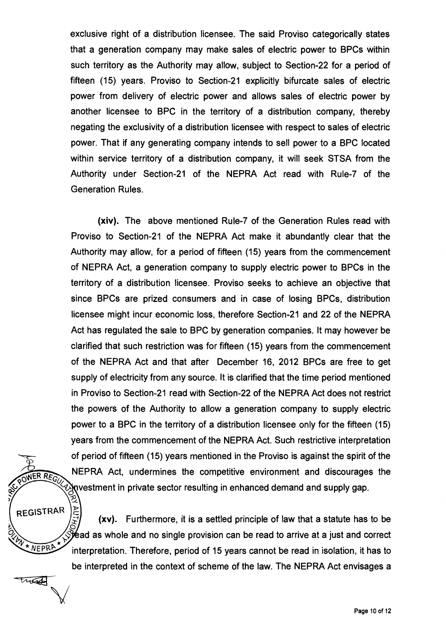**exclusive right of a distribution licensee. The said Proviso categorically states that a generation company may make sales of electric power to BPCs within such territory as the Authority may allow, subject to Section-22 for a period of fifteen (15) years. Proviso to Section-21 explicitly bifurcate sales of electric power from delivery of electric power and allows sales of electric power by another licensee to BPC in the territory of a distribution company, thereby negating the exclusivity of a distribution licensee with respect to sales of electric power. That if any generating company intends to sell power to a BPC located within service territory of a distribution company, it will seek STSA from the Authority under Section-21 of the NEPRA Act read with Rule-7 of the Generation Rules.** 

**(xiv). The above mentioned Rule-7 of the Generation Rules read with Proviso to Section-21 of the NEPRA Act make it abundantly clear that the Authority may allow, for a period of fifteen (15) years from the commencement of NEPRA Act, a generation company to supply electric power to BPCs in the territory of a distribution licensee. Proviso seeks to achieve an objective that since BPCs are prized consumers and in case of losing BPCs, distribution licensee might incur economic loss, therefore Section-21 and 22 of the NEPRA Act has regulated the sale to BPC by generation companies. It may however be clarified that such restriction was for fifteen (15) years from the commencement of the NEPRA Act and that after December 16, 2012 BPCs are free to get supply of electricity from any source. It is clarified that the time period mentioned in Proviso to Section-21 read with Section-22 of the NEPRA Act does not restrict the powers of the Authority to allow a generation company to supply electric power to a BPC in the territory of a distribution licensee only for the fifteen (15) years from the commencement of the NEPRA Act. Such restrictive interpretation**  of period of fifteen (15) years mentioned in the Proviso is against the spirit of the<br> **RER REGO** NEPRA Act, undermines the competitive environment and discourages the **vestment in private sector resulting in enhanced demand and supply gap.** 

 $\frac{\text{AUT}}{\text{A}}$ REGISTRAR **(xv). Furthermore, it is a settled principle of law that a statute has to be fead as whole and no single provision can be read to arrive at a just and correct interpretation. Therefore, period of 15 years cannot be read in isolation, it has to be interpreted in the context of scheme of the law. The NEPRA Act envisages a** 

ANY + NEPRA

Turad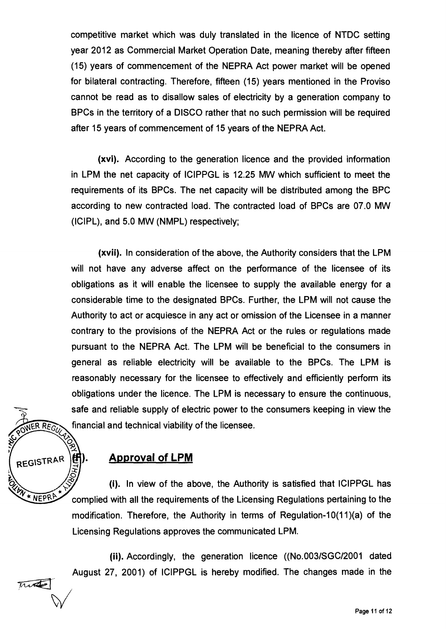**competitive market which was duly translated in the licence of NTDC setting year 2012 as Commercial Market Operation Date, meaning thereby after fifteen (15) years of commencement of the NEPRA Act power market will be opened for bilateral contracting. Therefore, fifteen (15) years mentioned in the Proviso cannot be read as to disallow sales of electricity by a generation company to BPCs in the territory of a DISCO rather that no such permission will be required after 15 years of commencement of 15 years of the NEPRA Act.** 

**(xvi). According to the generation licence and the provided information in LPM the net capacity of ICIPPGL is 12.25 MW which sufficient to meet the requirements of its BPCs. The net capacity will be distributed among the BPC according to new contracted load. The contracted load of BPCs are 07.0 MW (ICIPL), and 5.0 MW (NMPL) respectively;** 

**(xvii). In consideration of the above, the Authority considers that the LPM will not have any adverse affect on the performance of the licensee of its obligations as it will enable the licensee to supply the available energy for a considerable time to the designated BPCs. Further, the LPM will not cause the Authority to act or acquiesce in any act or omission of the Licensee in a manner contrary to the provisions of the NEPRA Act or the rules or regulations made pursuant to the NEPRA Act. The LPM will be beneficial to the consumers in general as reliable electricity will be available to the BPCs. The LPM is reasonably necessary for the licensee to effectively and efficiently perform its obligations under the licence. The LPM is necessary to ensure the continuous, safe and reliable supply of electric power to the consumers keeping in view the financial and technical viability of the licensee.** 



Two

## **Approval of LPM**

**(i). In view of the above, the Authority is satisfied that ICIPPGL has complied with all the requirements of the Licensing Regulations pertaining to the modification. Therefore, the Authority in terms of Regulation-10(11)(a) of the Licensing Regulations approves the communicated LPM.** 

**(ii). Accordingly, the generation licence ((No.003/SGC/2001 dated August 27, 2001) of ICIPPGL is hereby modified. The changes made in the** 

**Page** 11 of 12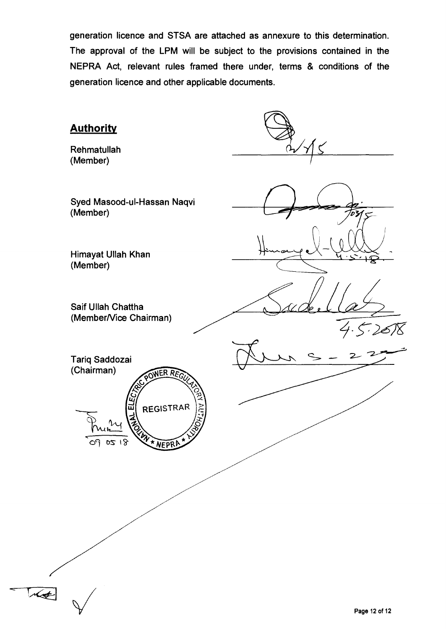**generation licence and STSA are attached as annexure to this determination. The approval of the LPM will be subject to the provisions contained in the NEPRA Act, relevant rules framed there under, terms & conditions of the generation licence and other applicable documents.** 

| <b>Authority</b><br>Rehmatullah<br>(Member)              |                               |
|----------------------------------------------------------|-------------------------------|
| Syed Masood-ul-Hassan Naqvi<br>(Member)                  |                               |
| Himayat Ullah Khan<br>(Member)                           |                               |
| Saif Ullah Chattha<br>(Member/Vice Chairman)             |                               |
| Tariq Saddozai<br>(Chairman)<br>POWER REGU               | . <sub>&gt;' 2</sub> 6/8<br>. |
| ដ<br>ក<br>REGISTRAR<br>λU<br>WY * NEPRA **<br>0218<br>09 |                               |
|                                                          |                               |
|                                                          |                               |
| $\sqrt{4}$                                               | Page 12 of 12                 |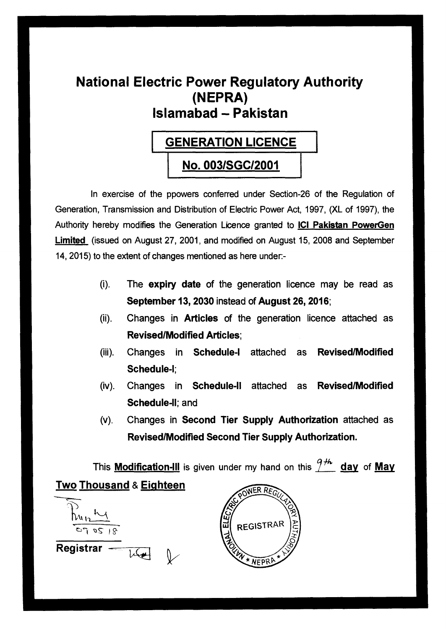# **National Electric Power Regulatory Authority (NEPRA) Islamabad - Pakistan**

# **GENERATION LICENCE**

# **No. 003/SGC/2001**

In exercise of the ppowers conferred under Section-26 of the Regulation of Generation, Transmission and Distribution of Electric Power Act, 1997, (XL of 1997), the Authority hereby modifies the Generation Licence granted to **ICI Pakistan PowerGen Limited** (issued on August 27, 2001, and modified on August 15, 2008 and September 14, 2015) to the extent of changes mentioned as here under:-

- **(i). The expiry date of the generation licence may be read as September 13, 2030 instead of August 26, 2016;**
- **(ii). Changes in Articles of the generation licence attached as Revised/Modified Articles;**
- **(iii). Changes in Schedule-I attached as Revised/Modified Schedule-I;**
- **(iv). Changes in Schedule-II attached as Revised/Modified Schedule-II; and**
- **(v). Changes in Second Tier Supply Authorization attached as Revised/Modified Second Tier Supply Authorization.**

This **Modification-III** is given under my hand on this  $\frac{9+h}{10}$  day of May **Two Thousand & Eighteen** 



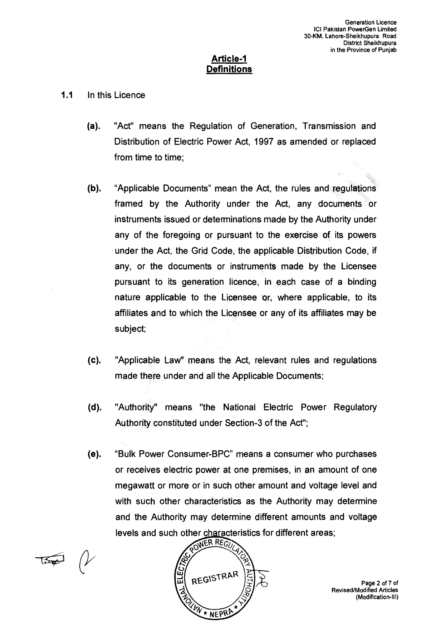#### **Article-1 Definitions**

- **1.1** In this Licence
	- (a). "Act" means the Regulation of Generation, Transmission and Distribution of Electric Power Act, 1997 as amended or replaced from time to time;
	- (b). "Applicable Documents" mean the Act, the rules and regulations framed by the Authority under the Act, any documents or instruments issued or determinations made by the Authority under any of the foregoing or pursuant to the exercise of its powers under the Act, the Grid Code, the applicable Distribution Code, if any, or the documents or instruments made by the Licensee pursuant to its generation licence, in each case of a binding nature applicable to the Licensee or, where applicable, to its affiliates and to which the Licensee or any of its affiliates may be subject;
	- (c). "Applicable Law" means the Act, relevant rules and regulations made there under and all the Applicable Documents;
	- (d). "Authority" means "the National Electric Power Regulatory Authority constituted under Section-3 of the Act";
	- (e). "Bulk Power Consumer-BPC" means a consumer who purchases or receives electric power at one premises, in an amount of one megawatt or more or in such other amount and voltage level and with such other characteristics as the Authority may determine and the Authority may determine different amounts and voltage levels and such other characteristics for different areas;<br> $\widehat{C(NER REG)}$



Page 2 of 7 of Revised/Modified Articles (Modification-Ill)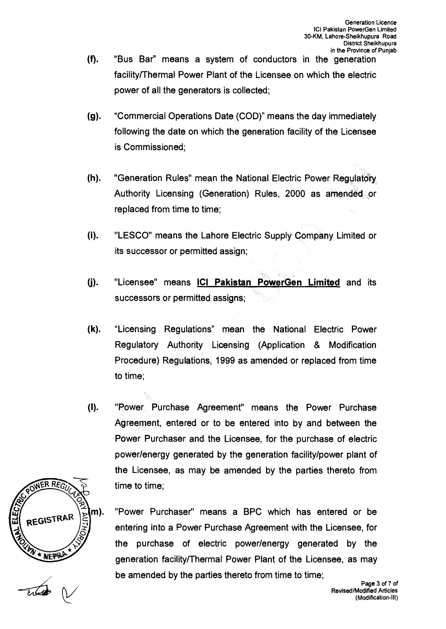- (f). "Bus Bar" means a system of conductors in the generation facility/Thermal Power Plant of the Licensee on which the electric power of all the generators is collected;
- (9). "Commercial Operations Date (COD)" means the day immediately following the date on which the generation facility of the Licensee is Commissioned;
- (h). "Generation Rules" mean the National Electric Power Regulatory Authority Licensing (Generation) Rules, 2000 as amended or replaced from time to time;
- (i). "LESCO" means the Lahore Electric Supply Company Limited or its successor or permitted assign;
- (j). "Licensee" means **ICI Pakistan PowerGen Limited** and its successors or permitted assigns;
- (k). "Licensing Regulations" mean the National Electric Power Regulatory Authority Licensing (Application & Modification Procedure) Regulations, 1999 as amended or replaced from time to time;
- $(I).$ "Power Purchase Agreement" means the Power Purchase Agreement, entered or to be entered into by and between the Power Purchaser and the Licensee, for the purchase of electric power/energy generated by the generation facility/power plant of the Licensee, as may be amended by the parties thereto from time to time;



"Power Purchaser" means a BPC which has entered or be entering into a Power Purchase Agreement with the Licensee, for the purchase of electric power/energy generated by the generation facility/Thermal Power Plant of the Licensee, as may be amended by the parties thereto from time to time;

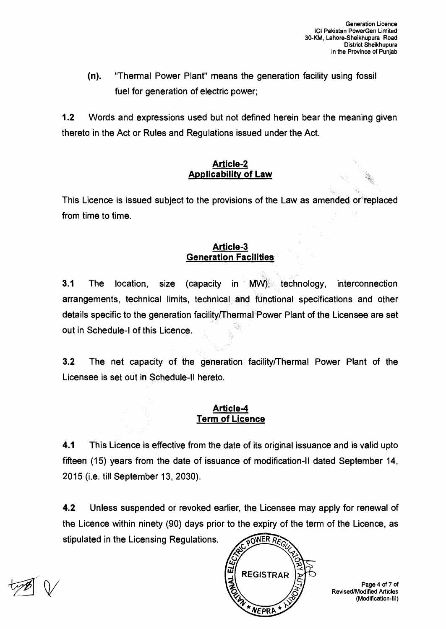**(n). "Thermal Power Plant" means the generation facility using fossil fuel for generation of electric power;** 

**1.2 Words and expressions used but not defined herein bear the meaning given thereto in the Act or Rules and Regulations issued under the Act.** 

#### **Article-2 Applicability of Law**

**This Licence is issued subject to the provisions of the Law as amended or replaced from time to time.** 

### **Article-3 Generation Facilities**

**3.1 The location, size (capacity in MW), technology, interconnection arrangements, technical limits, technical and functional specifications and other details specific to the generation facility/Thermal Power Plant of the Licensee are set**  out in Schedule-I of this Licence.

**3.2 The net capacity of the generation facility/Thermal Power Plant of the Licensee is set out in Schedule-II hereto.** 

### **Article-4 Term of Licence**

**4.1 This Licence is effective from the date of its original issuance and is valid upto fifteen (15) years from the date of issuance of modification-II dated September 14, 2015 (i.e. till September 13, 2030).** 

**4.2 Unless suspended or revoked earlier, the Licensee may apply for renewal of the Licence within ninety (90) days prior to the expiry of the term of the Licence, as stipulated in the Licensing Regulations. POWER RE** 



**Page 4 of 7 of Revised/Modified Articles (Modification-Ill)**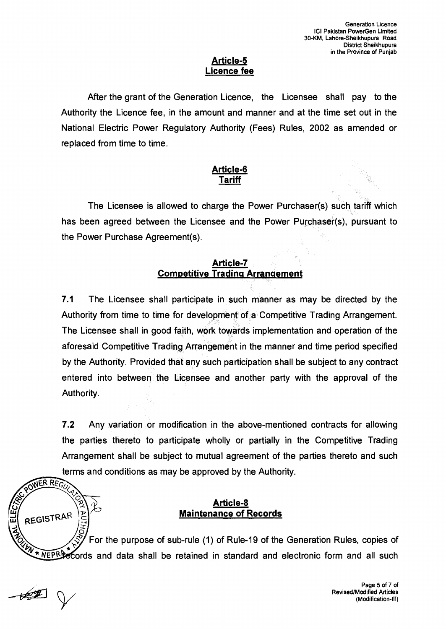#### **Article-5 Licence fee**

After the grant of the Generation Licence, the Licensee shall pay to the Authority the Licence fee, in the amount and manner and at the time set out in the National Electric Power Regulatory Authority (Fees) Rules, 2002 as amended or replaced from time to time.

### **Article-6 Tariff**

The Licensee is allowed to charge the Power Purchaser(s) such tariff which has been agreed between the Licensee and the Power Purchaser(s), pursuant to the Power Purchase Agreement(s).

### **Article-7 Competitive Trading Arrangement**

**7.1** The Licensee shall participate in such manner as may be directed by the Authority from time to time for development of a Competitive Trading Arrangement. The Licensee shall in good faith, work towards implementation and operation of the aforesaid Competitive Trading Arrangement in the manner and time period specified by the Authority. Provided that any such participation shall be subject to any contract entered into between the Licensee and another party with the approval of the Authority.

**7.2** Any variation or modification in the above-mentioned contracts for allowing the parties thereto to participate wholly or partially in the Competitive Trading Arrangement shall be subject to mutual agreement of the parties thereto and such terms and conditions as may be approved by the Authority.<br>
The REGU

### **Article-8 Maintenance of Records**

For the purpose of sub-rule (1) of Rule-19 of the Generation Rules, copies of  $\widetilde{NEPR}$  cords and data shall be retained in standard and electronic form and all such

**<sup>111</sup>REGISTRAR** 

3)

**C.) -J**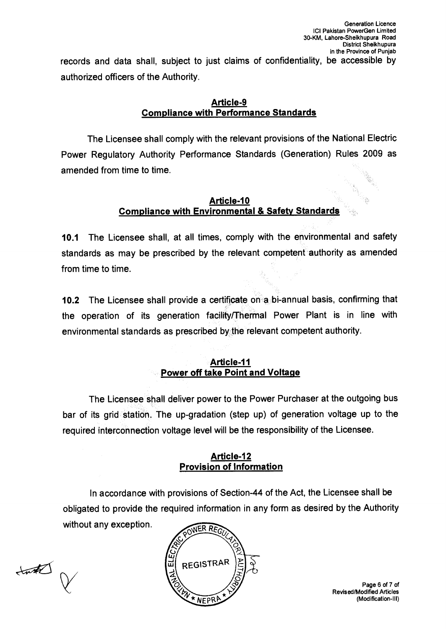records and data shall, subject to just claims of confidentiality, be accessible by authorized officers of the Authority.

#### **Article-9 Compliance with Performance Standards**

The Licensee shall comply with the relevant provisions of the National Electric Power Regulatory Authority Performance Standards (Generation) Rules 2009 as amended from time to time.

#### **Article-10 Compliance with Environmental & Safety Standards**

**10.1** The Licensee shall, at all times, comply with the environmental and safety standards as may be prescribed by the relevant competent authority as amended from time to time.

**10.2** The Licensee shall provide a certificate on a bi-annual basis, confirming that the operation of its generation facility/Thermal Power Plant is in line with environmental standards as prescribed by the relevant competent authority.

### **Article-11 Power off take Point and Voltage**

The Licensee shall deliver power to the Power Purchaser at the outgoing bus bar of its grid station. The up-gradation (step up) of generation voltage up to the required interconnection voltage level will be the responsibility of the Licensee.

#### **Article-12 Provision of Information**

In accordance with provisions of Section-44 of the Act, the Licensee shall be obligated to provide the required information in any form as desired by the Authority without any exception.

 $tan\hbar \rightarrow \infty$ 



Page 6 of 7 of Revised/Modified Articles (Modification-Ill)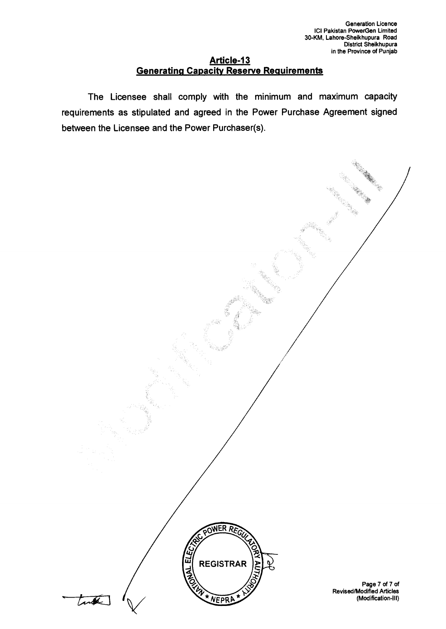#### **Article-13 Generating Capacity Reserve Requirements**

**The Licensee shall comply with the minimum and maximum capacity requirements as stipulated and agreed in the Power Purchase Agreement signed between the Licensee and the Power Purchaser(s).** 

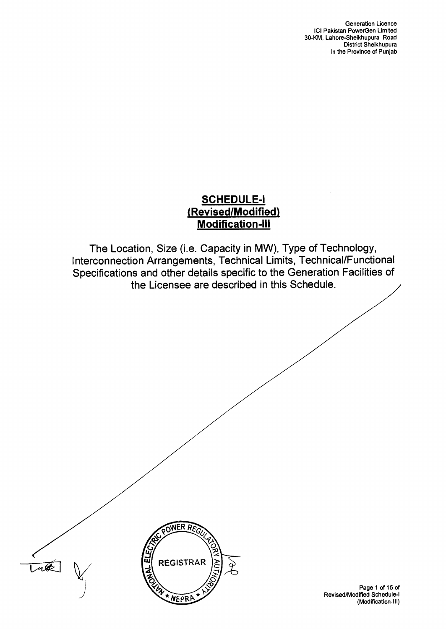## **SCHEDULE-I (Revised/Modified) Modification-Ill**

The Location, Size (i.e. Capacity in MW), Type of Technology, Interconnection Arrangements, Technical Limits, Technical/Functional Specifications and other details specific to the Generation Facilities of the Licensee are described in this Schedule.





Page 1 of 15 of Revised/Modified Schedule-I (Modification-III)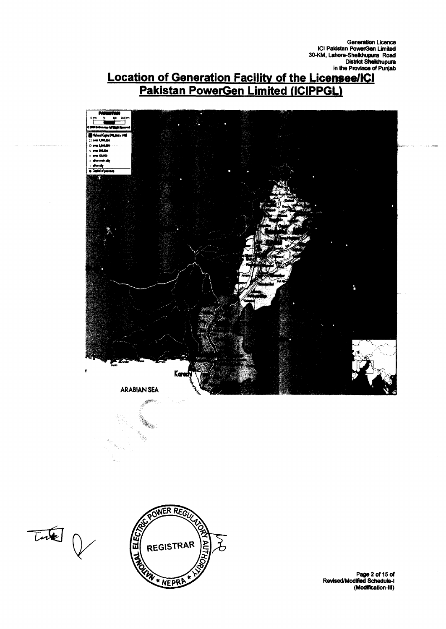# **Location of Generation Facility of the Licensee/ICI Pakistan PowerGen Limited (ICIPPGL)**



 $\overline{L}$ 



**Pape 2 of 15 of Revised/ModMed Schedule-1 (Modification-Ill)**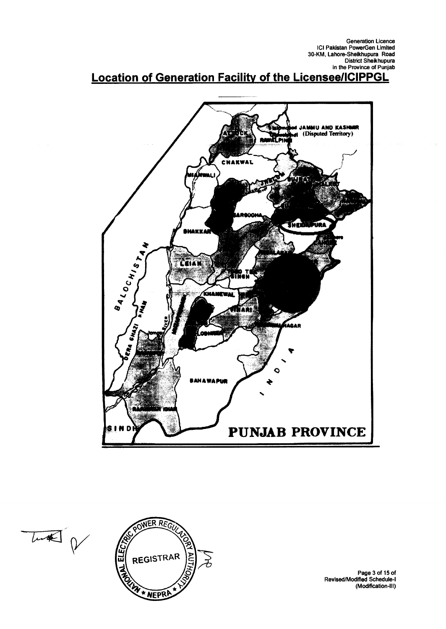# **Location of Generation Facility of the Licensee/ICIPPGL**



Lund p



**Page 3 of 15 of Revised/Modified Schedule-I (Modification-III)**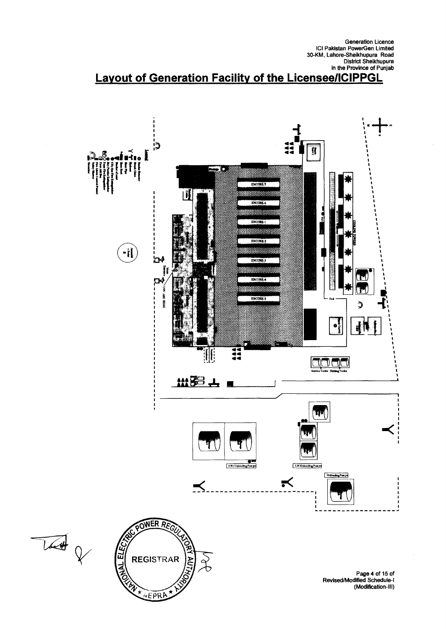# **Layout of Generation Facility of the Licensee/ICIPPGL**

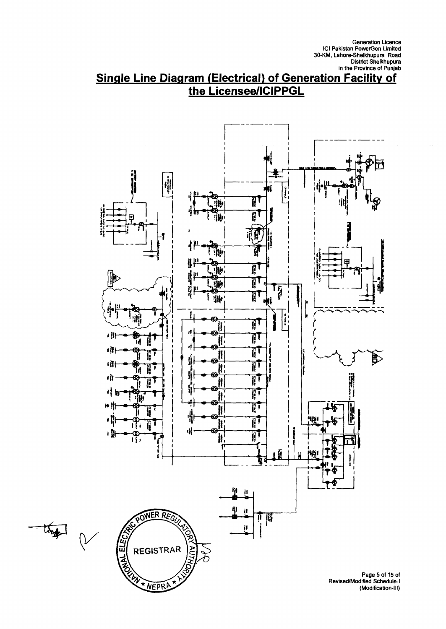# **Single Line Diagram (Electrical) of Generation Facility of the Licensee/ICIPPGL**

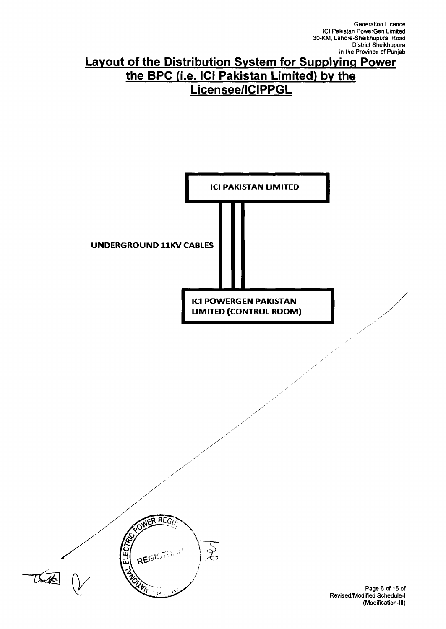# **Layout of the Distribution System for Supplying Power the BPC (i.e. ICI Pakistan Limited) by the Licensee/ICIPPGL**



Revised/Modified Schedule-I (Modification-III)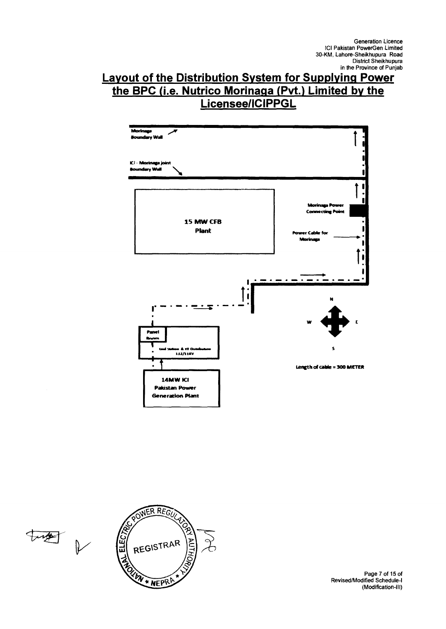# **Layout of the Distribution System for Supplying Power the BPC (i.e. Nutrico Morinaga (Pvt.) Limited by the Licensee/ICIPPGL**







Page 7 of 15 of Revised/Modified Schedule-I (Modification-III)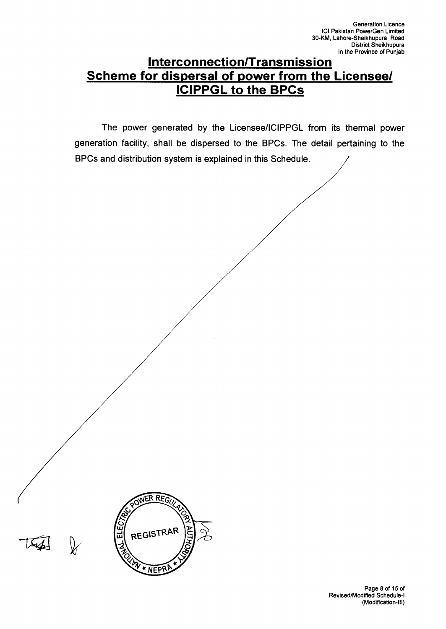# **Interconnection/Transmission Scheme for dispersal of power from the Licensee/ ICIPPGL to the BPCs**

**The power generated by the Licensee/ICIPPGL from its thermal power generation facility, shall be dispersed to the BPCs. The detail pertaining to the BPCs and distribution system is explained in this Schedule.** 

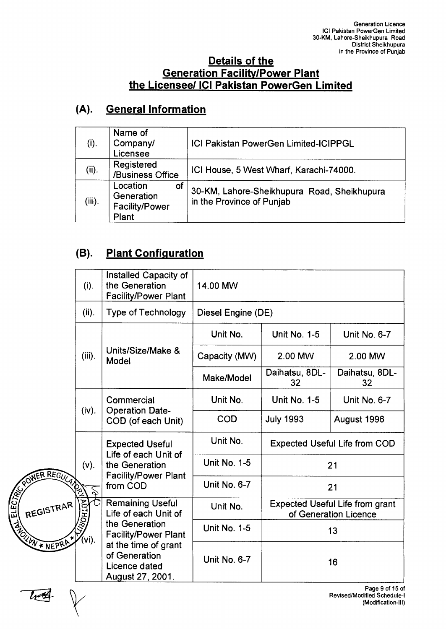## **Details of the Generation Facility/Power Plant the Licensee/ ICI Pakistan PowerGen Limited**

# **(A). General Information**

| (i).      | Name of<br>Company/<br>Licensee                         | <b>ICI Pakistan PowerGen Limited-ICIPPGL</b>                             |
|-----------|---------------------------------------------------------|--------------------------------------------------------------------------|
| (ii).     | Registered<br>/Business Office                          | ICI House, 5 West Wharf, Karachi-74000.                                  |
| $(iii)$ . | Location<br>of<br>Generation<br>Facility/Power<br>Plant | 30-KM, Lahore-Sheikhupura Road, Sheikhupura<br>in the Province of Punjab |

# **(B). Plant Configuration**

**ASSECT** 

|           |           | (i).                                                                                                                        | Installed Capacity of<br>the Generation<br><b>Facility/Power Plant</b>                                                                                         | 14.00 MW            |                                                                 |                                                                             |  |
|-----------|-----------|-----------------------------------------------------------------------------------------------------------------------------|----------------------------------------------------------------------------------------------------------------------------------------------------------------|---------------------|-----------------------------------------------------------------|-----------------------------------------------------------------------------|--|
|           |           | (ii).                                                                                                                       | <b>Type of Technology</b>                                                                                                                                      | Diesel Engine (DE)  |                                                                 |                                                                             |  |
|           |           |                                                                                                                             |                                                                                                                                                                | Unit No.            | <b>Unit No. 1-5</b>                                             | Unit No. 6-7                                                                |  |
|           |           | $(iii)$ .                                                                                                                   | Units/Size/Make &<br>Model                                                                                                                                     | Capacity (MW)       | 2.00 MW                                                         | 2.00 MW                                                                     |  |
|           |           |                                                                                                                             |                                                                                                                                                                | Make/Model          | Daihatsu, 8DL-<br>32                                            | Daihatsu, 8DL-<br>32                                                        |  |
|           |           |                                                                                                                             | Commercial<br><b>Operation Date-</b><br>COD (of each Unit)                                                                                                     | Unit No.            | <b>Unit No. 1-5</b>                                             | <b>Unit No. 6-7</b>                                                         |  |
|           |           | (iv).                                                                                                                       |                                                                                                                                                                | <b>COD</b>          | <b>July 1993</b>                                                | August 1996                                                                 |  |
|           |           | $(v)$ .<br>Z<br><b>AUTH</b>                                                                                                 | <b>Expected Useful</b><br>Life of each Unit of<br>the Generation<br><b>Facility/Power Plant</b><br>from COD<br><b>Remaining Useful</b><br>Life of each Unit of | Unit No.            | <b>Expected Useful Life from COD</b>                            |                                                                             |  |
|           |           |                                                                                                                             |                                                                                                                                                                | <b>Unit No. 1-5</b> | 21                                                              |                                                                             |  |
|           |           |                                                                                                                             |                                                                                                                                                                | Unit No. 6-7        | 21                                                              |                                                                             |  |
|           | REGISTRAR |                                                                                                                             |                                                                                                                                                                | Unit No.            | <b>Expected Useful Life from grant</b><br>of Generation Licence |                                                                             |  |
| REGISTRAR | vi).      | the Generation<br><b>Facility/Power Plant</b><br>at the time of grant<br>of Generation<br>Licence dated<br>August 27, 2001. | <b>Unit No. 1-5</b>                                                                                                                                            | 13                  |                                                                 |                                                                             |  |
|           |           |                                                                                                                             | Unit No. 6-7                                                                                                                                                   |                     | 16                                                              |                                                                             |  |
|           |           |                                                                                                                             |                                                                                                                                                                |                     |                                                                 | Page 9 of 15 of<br><b>Revised/Modified Schedule-I</b><br>(Modification-III) |  |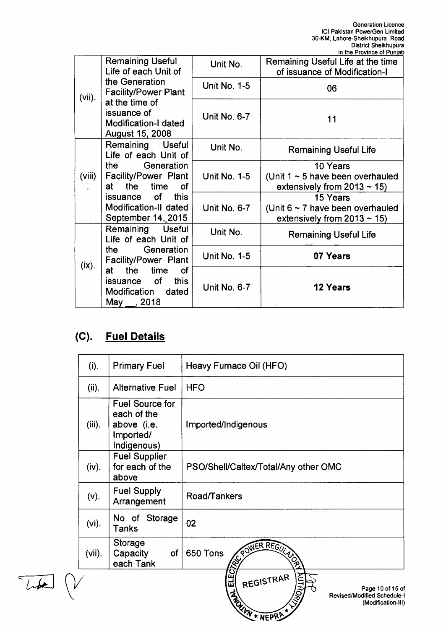|           |                                                                                               |                     | in the Province of Punjab                                                              |
|-----------|-----------------------------------------------------------------------------------------------|---------------------|----------------------------------------------------------------------------------------|
|           | <b>Remaining Useful</b><br>Life of each Unit of                                               | Unit No.            | Remaining Useful Life at the time<br>of issuance of Modification-I                     |
| $(vii)$ . | the Generation<br><b>Facility/Power Plant</b>                                                 | <b>Unit No. 1-5</b> | 06                                                                                     |
|           | at the time of<br>issuance of<br><b>Modification-I dated</b><br>August 15, 2008               | <b>Unit No. 6-7</b> | 11                                                                                     |
|           | Remaining Useful<br>Life of each Unit of                                                      | Unit No.            | <b>Remaining Useful Life</b>                                                           |
| (viii)    | Generation<br>the<br>Facility/Power Plant<br>the time<br><b>of</b><br>at a                    | <b>Unit No. 1-5</b> | 10 Years<br>(Unit $1 \sim 5$ have been overhauled<br>extensively from $2013 \sim 15$ ) |
|           | issuance of<br>this<br>Modification-II dated<br>September 14, 2015                            | Unit No. 6-7        | 15 Years<br>(Unit $6 \sim 7$ have been overhauled<br>extensively from $2013 \sim 15$ ) |
|           | Remaining Useful<br>Life of each Unit of                                                      | Unit No.            | <b>Remaining Useful Life</b>                                                           |
| (ix).     | the Generation<br>Facility/Power Plant                                                        | <b>Unit No. 1-5</b> | 07 Years                                                                               |
|           | the<br>time<br>at<br><b>of</b><br>issuance of<br>this<br>Modification dated<br>May $\_, 2018$ | Unit No. 6-7        | <b>12 Years</b>                                                                        |

# **(C). Fuel Details**

| (i).      | <b>Primary Fuel</b>                                                       | Heavy Furnace Oil (HFO)                                                                                           |
|-----------|---------------------------------------------------------------------------|-------------------------------------------------------------------------------------------------------------------|
| (ii).     | <b>Alternative Fuel</b>                                                   | <b>HFO</b>                                                                                                        |
| $(iii)$ . | Fuel Source for<br>each of the<br>above (i.e.<br>Imported/<br>Indigenous) | Imported/Indigenous                                                                                               |
| (iv).     | <b>Fuel Supplier</b><br>for each of the<br>above                          | PSO/Shell/Caltex/Total/Any other OMC                                                                              |
| $(v)$ .   | <b>Fuel Supply</b><br>Arrangement                                         | Road/Tankers                                                                                                      |
| $(vi)$ .  | No of Storage<br>Tanks                                                    | 02                                                                                                                |
| $(vii)$ . | Storage<br>Capacity<br>of<br>each Tank                                    | POWER REGULARD<br>650 Tons                                                                                        |
|           |                                                                           | ELEC<br>REGISTRAR<br>Page 10 of 15 of<br><b>ROUN + NEPRA</b><br>Revised/Modified Schedule-I<br>(Modification-III) |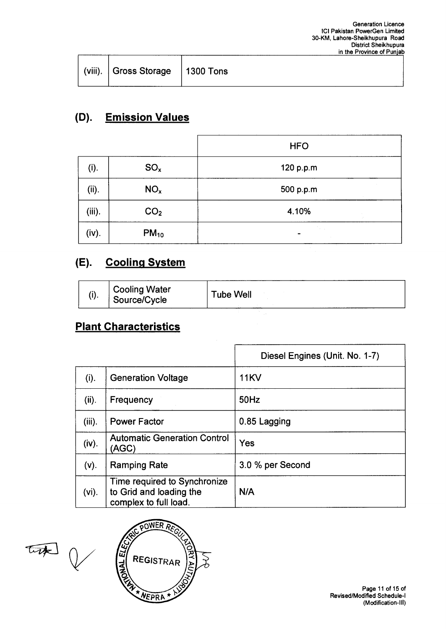| $\vert$ (viii). Gross Storage   1300 Tons |  |
|-------------------------------------------|--|
|                                           |  |

# **(D). Emission Values**

|        |                 | <b>HFO</b>                |
|--------|-----------------|---------------------------|
| (i).   | SO <sub>x</sub> | 120 p.p.m                 |
| (ii).  | NO <sub>x</sub> | 500 p.p.m                 |
| (iii). | CO <sub>2</sub> | 4.10%<br>$\sim$           |
| (iv).  | $PM_{10}$       | The Car<br>$\blacksquare$ |

## **(E). Cooling System**

| ψ٠ | <b>Cooling Water</b><br>Source/Cycle | Tube Well |
|----|--------------------------------------|-----------|
|    |                                      |           |

## **Plant Characteristics**

|           |                                                                                  | Diesel Engines (Unit. No. 1-7) |
|-----------|----------------------------------------------------------------------------------|--------------------------------|
| (i).      | <b>Generation Voltage</b>                                                        | <b>11KV</b>                    |
| (ii).     | Frequency                                                                        | 50Hz                           |
| $(iii)$ . | <b>Power Factor</b>                                                              | 0.85 Lagging                   |
| (iv).     | <b>Automatic Generation Control</b><br>(AGC)                                     | Yes                            |
| (v).      | <b>Ramping Rate</b>                                                              | 3.0 % per Second               |
| $(vi)$ .  | Time required to Synchronize<br>to Grid and loading the<br>complex to full load. | N/A                            |

that V

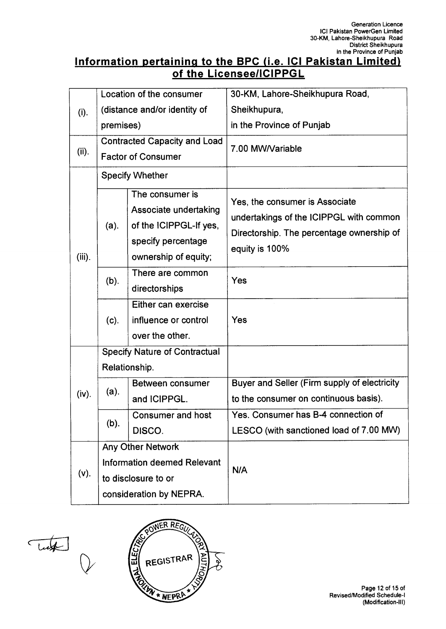## **Information pertaining to the BPC (i.e. ICI Pakistan Limited) of the Licensee/ICIPPGL**

|           |                                      | Location of the consumer            | 30-KM, Lahore-Sheikhupura Road,              |  |
|-----------|--------------------------------------|-------------------------------------|----------------------------------------------|--|
| (i).      | (distance and/or identity of         |                                     | Sheikhupura,                                 |  |
|           | premises)                            |                                     | in the Province of Punjab                    |  |
|           |                                      | <b>Contracted Capacity and Load</b> | 7.00 MW/Variable                             |  |
| (ii).     |                                      | <b>Factor of Consumer</b>           |                                              |  |
|           |                                      | <b>Specify Whether</b>              |                                              |  |
|           |                                      | The consumer is                     | Yes, the consumer is Associate               |  |
|           |                                      | Associate undertaking               | undertakings of the ICIPPGL with common      |  |
|           | $(a)$ .                              | of the ICIPPGL-If yes,              | Directorship. The percentage ownership of    |  |
|           |                                      | specify percentage                  | equity is 100%                               |  |
| $(iii)$ . |                                      | ownership of equity;                |                                              |  |
|           | (b).                                 | There are common                    | Yes                                          |  |
|           |                                      | directorships                       |                                              |  |
|           | $(c)$ .                              | Either can exercise                 |                                              |  |
|           |                                      | influence or control                | Yes                                          |  |
|           |                                      | over the other.                     |                                              |  |
|           | <b>Specify Nature of Contractual</b> |                                     |                                              |  |
|           |                                      | Relationship.                       |                                              |  |
|           | $(a)$ .                              | Between consumer                    | Buyer and Seller (Firm supply of electricity |  |
| (iv).     |                                      | and ICIPPGL.                        | to the consumer on continuous basis).        |  |
|           | (b).                                 | <b>Consumer and host</b>            | Yes. Consumer has B-4 connection of          |  |
|           |                                      | DISCO.                              | LESCO (with sanctioned load of 7.00 MW)      |  |
|           | Any Other Network                    |                                     |                                              |  |
|           |                                      | <b>Information deemed Relevant</b>  | N/A                                          |  |
| $(v)$ .   |                                      | to disclosure to or                 |                                              |  |
|           |                                      | consideration by NEPRA.             |                                              |  |

Tutt Q



Page 12 of 15 of Revised/Modified Schedule-I (Modification-III)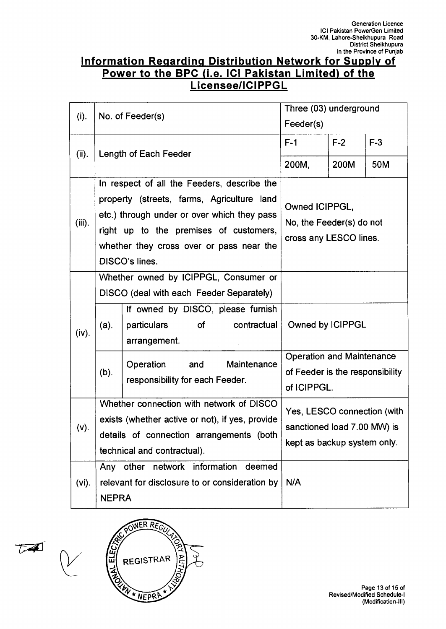## **Information Regarding Distribution Network for Supply of Power to the BPC (i.e. ICI Pakistan Limited) of the Licensee/ICIPPGL**

|           |              |                                                                                                                                          | Three (03) underground                                                             |       |       |
|-----------|--------------|------------------------------------------------------------------------------------------------------------------------------------------|------------------------------------------------------------------------------------|-------|-------|
| (i).      |              | No. of Feeder(s)                                                                                                                         | Feeder(s)                                                                          |       |       |
| (ii).     |              | Length of Each Feeder                                                                                                                    | $F-1$                                                                              | $F-2$ | $F-3$ |
|           |              |                                                                                                                                          | 200M,                                                                              | 200M  | 50M   |
| $(iii)$ . |              | In respect of all the Feeders, describe the<br>property (streets, farms, Agriculture land<br>etc.) through under or over which they pass | Owned ICIPPGL,<br>No, the Feeder(s) do not                                         |       |       |
|           |              | right up to the premises of customers,<br>whether they cross over or pass near the<br>DISCO's lines.                                     | cross any LESCO lines.                                                             |       |       |
|           |              | Whether owned by ICIPPGL, Consumer or<br>DISCO (deal with each Feeder Separately)                                                        |                                                                                    |       |       |
| (iv).     | (a).         | If owned by DISCO, please furnish<br>contractual<br>particulars<br>of<br>arrangement.                                                    | Owned by ICIPPGL                                                                   |       |       |
|           | (b).         | Maintenance<br>Operation<br>and<br>responsibility for each Feeder.                                                                       | <b>Operation and Maintenance</b><br>of Feeder is the responsibility<br>of ICIPPGL. |       |       |
| (v).      |              | Whether connection with network of DISCO<br>exists (whether active or not), if yes, provide<br>details of connection arrangements (both  | Yes, LESCO connection (with<br>sanctioned load 7.00 MW) is                         |       |       |
|           |              | technical and contractual).                                                                                                              | kept as backup system only.                                                        |       |       |
| $(vi)$ .  | <b>NEPRA</b> | Any other network information<br>deemed<br>relevant for disclosure to or consideration by                                                | N/A                                                                                |       |       |



 $\overline{L}$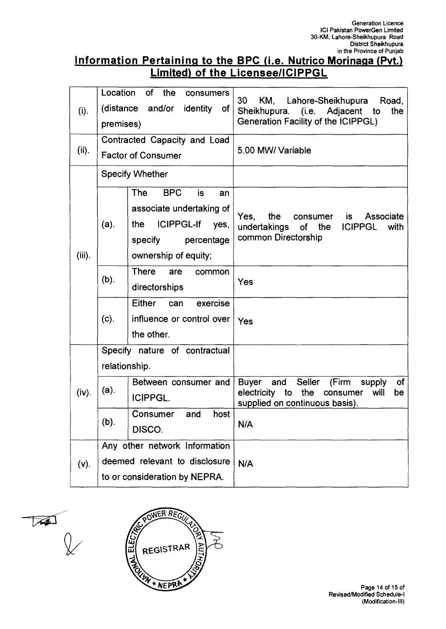## **Information Pertaining to the BPC (i.e. Nutrico Morinaga (Pvt.) Limited) of the Licensee/ICIPPGL**

|           | Location                           | of<br>the<br>consumers           |                                                                                                |  |
|-----------|------------------------------------|----------------------------------|------------------------------------------------------------------------------------------------|--|
| (i).      | and/or identity<br>(distance<br>0f |                                  | 30<br>KM.<br>Lahore-Sheikhupura<br>Road,<br>Sheikhupura. (i.e. Adjacent to<br>the              |  |
|           | premises)                          |                                  | Generation Facility of the ICIPPGL)                                                            |  |
|           |                                    | Contracted Capacity and Load     |                                                                                                |  |
| (ii).     |                                    | <b>Factor of Consumer</b>        | 5.00 MW/ Variable                                                                              |  |
|           |                                    |                                  |                                                                                                |  |
|           |                                    | <b>Specify Whether</b>           |                                                                                                |  |
|           |                                    | The<br><b>BPC</b><br>is<br>an    |                                                                                                |  |
|           |                                    | associate undertaking of         |                                                                                                |  |
|           | $(a)$ .                            | <b>ICIPPGL-If</b><br>the<br>yes, | Associate<br>Yes,<br>the<br>is<br>consumer<br><b>ICIPPGL</b><br>undertakings<br>of the<br>with |  |
|           |                                    | specify<br>percentage            | common Directorship                                                                            |  |
| $(iii)$ . |                                    | ownership of equity;             |                                                                                                |  |
|           |                                    | <b>There</b><br>are<br>common    |                                                                                                |  |
|           | (b).                               | directorships                    | Yes                                                                                            |  |
|           |                                    | Either<br>exercise<br>can        |                                                                                                |  |
|           | (c).                               |                                  |                                                                                                |  |
|           |                                    | influence or control over        | Yes                                                                                            |  |
|           |                                    | the other.                       |                                                                                                |  |
|           |                                    | Specify nature of contractual    |                                                                                                |  |
|           | relationship.                      |                                  |                                                                                                |  |
|           | $(a)$ .                            | Between consumer and             | Seller<br>of<br>and<br>(Firm<br><b>Buyer</b><br>supply                                         |  |
| (iv).     |                                    | <b>ICIPPGL.</b>                  | the<br>electricity<br>to<br>will<br>consumer<br>be<br>supplied on continuous basis).           |  |
|           |                                    | host<br>Consumer<br>and          |                                                                                                |  |
|           | (b).<br>DISCO.                     |                                  | N/A                                                                                            |  |
|           |                                    | Any other network Information    |                                                                                                |  |
| (v).      | deemed relevant to disclosure      |                                  | N/A                                                                                            |  |
|           | to or consideration by NEPRA.      |                                  |                                                                                                |  |

 $\chi$ 

OWER REGU **ANGREE** ONA ELECTRIC Z REGISTRAR **BN \* NEPRA**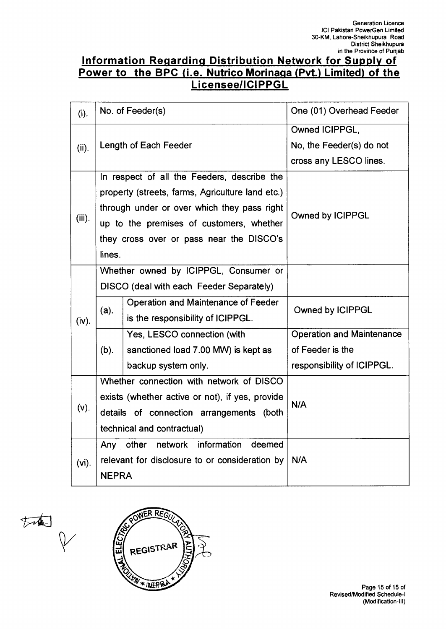## **Information Regarding Distribution Network for Supply of Power to the BPC (i.e. Nutrico Morinaga (Pvt.) Limited) of the Licensee/ICIPPGL**

| (i).      | No. of Feeder(s)                                                                                                                                                                                                                                 |                                                                                                                                                                                              | One (01) Overhead Feeder                                             |
|-----------|--------------------------------------------------------------------------------------------------------------------------------------------------------------------------------------------------------------------------------------------------|----------------------------------------------------------------------------------------------------------------------------------------------------------------------------------------------|----------------------------------------------------------------------|
| (ii).     | Length of Each Feeder                                                                                                                                                                                                                            |                                                                                                                                                                                              | Owned ICIPPGL,<br>No, the Feeder(s) do not<br>cross any LESCO lines. |
| $(iii)$ . | In respect of all the Feeders, describe the<br>property (streets, farms, Agriculture land etc.)<br>through under or over which they pass right<br>up to the premises of customers, whether<br>they cross over or pass near the DISCO's<br>lines. |                                                                                                                                                                                              | Owned by ICIPPGL                                                     |
| (iv).     | $(a)$ .                                                                                                                                                                                                                                          | Whether owned by ICIPPGL, Consumer or<br>DISCO (deal with each Feeder Separately)<br>Operation and Maintenance of Feeder<br>is the responsibility of ICIPPGL.<br>Yes, LESCO connection (with | Owned by ICIPPGL<br><b>Operation and Maintenance</b>                 |
|           | $(b)$ .                                                                                                                                                                                                                                          | sanctioned load 7.00 MW) is kept as<br>backup system only.                                                                                                                                   | of Feeder is the<br>responsibility of ICIPPGL.                       |
| $(v)$ .   | Whether connection with network of DISCO<br>exists (whether active or not), if yes, provide<br>details of connection arrangements (both<br>technical and contractual)                                                                            |                                                                                                                                                                                              | N/A                                                                  |
| $(vi)$ .  | network information<br>Any other<br>deemed<br>relevant for disclosure to or consideration by<br><b>NEPRA</b>                                                                                                                                     |                                                                                                                                                                                              | N/A                                                                  |

the P

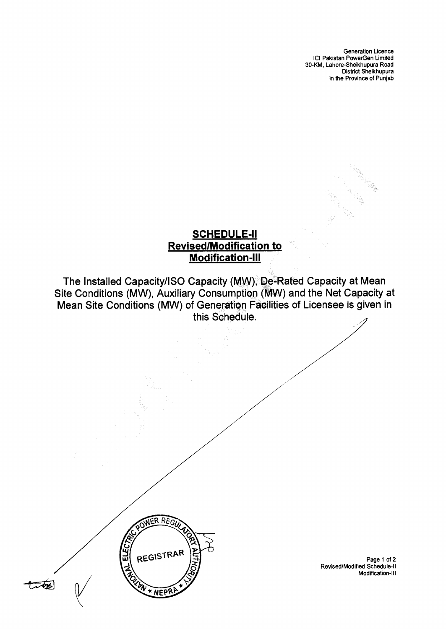## **SCHEDULE-II Revised/Modification to Modification-Ill**

The Installed Capacity/ISO Capacity (MW), De-Rated Capacity at Mean Site Conditions (MW), Auxiliary Consumption (MW) and the Net Capacity at Mean Site Conditions (MW) of Generation Facilities of Licensee is given in this Schedule.



Page 1 of 2 Revised/Modified Schedule-II Modification-III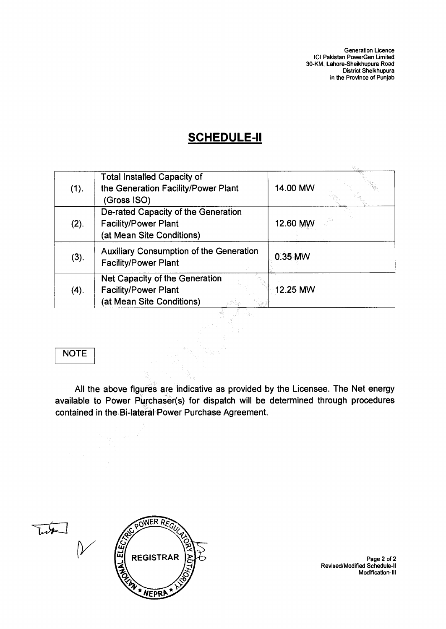# **SCHEDULE-II**

| (1). | <b>Total Installed Capacity of</b><br>the Generation Facility/Power Plant<br>(Gross ISO)        | 14.00 MW |
|------|-------------------------------------------------------------------------------------------------|----------|
| (2). | De-rated Capacity of the Generation<br><b>Facility/Power Plant</b><br>(at Mean Site Conditions) | 12.60 MW |
| (3). | <b>Auxiliary Consumption of the Generation</b><br><b>Facility/Power Plant</b>                   | 0.35 MW  |
| (4). | Net Capacity of the Generation<br><b>Facility/Power Plant</b><br>(at Mean Site Conditions)      | 12.25 MW |

### **NOTE**

**All the above figures are indicative as provided by the Licensee. The Net energy available to Power Purchaser(s) for dispatch will be determined through procedures contained in the Bi-lateral Power Purchase Agreement.** 

 $\frac{1}{2}$ 



Ç

Page 2 of 2 Revised/Modified Schedule-II Modification-III